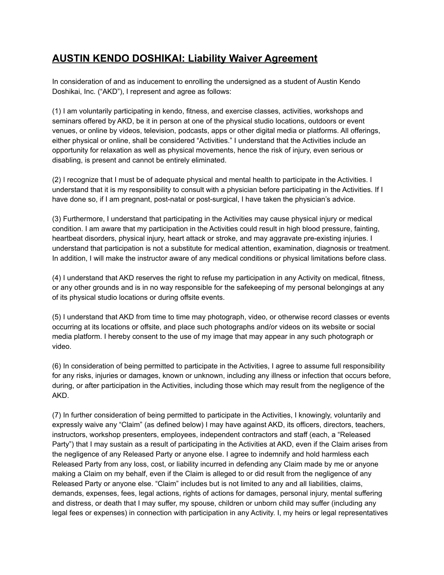## **AUSTIN KENDO DOSHIKAI: Liability Waiver Agreement**

In consideration of and as inducement to enrolling the undersigned as a student of Austin Kendo Doshikai, Inc. ("AKD"), I represent and agree as follows:

(1) I am voluntarily participating in kendo, fitness, and exercise classes, activities, workshops and seminars offered by AKD, be it in person at one of the physical studio locations, outdoors or event venues, or online by videos, television, podcasts, apps or other digital media or platforms. All offerings, either physical or online, shall be considered "Activities." I understand that the Activities include an opportunity for relaxation as well as physical movements, hence the risk of injury, even serious or disabling, is present and cannot be entirely eliminated.

(2) I recognize that I must be of adequate physical and mental health to participate in the Activities. I understand that it is my responsibility to consult with a physician before participating in the Activities. If I have done so, if I am pregnant, post-natal or post-surgical, I have taken the physician's advice.

(3) Furthermore, I understand that participating in the Activities may cause physical injury or medical condition. I am aware that my participation in the Activities could result in high blood pressure, fainting, heartbeat disorders, physical injury, heart attack or stroke, and may aggravate pre-existing injuries. I understand that participation is not a substitute for medical attention, examination, diagnosis or treatment. In addition, I will make the instructor aware of any medical conditions or physical limitations before class.

(4) I understand that AKD reserves the right to refuse my participation in any Activity on medical, fitness, or any other grounds and is in no way responsible for the safekeeping of my personal belongings at any of its physical studio locations or during offsite events.

(5) I understand that AKD from time to time may photograph, video, or otherwise record classes or events occurring at its locations or offsite, and place such photographs and/or videos on its website or social media platform. I hereby consent to the use of my image that may appear in any such photograph or video.

(6) In consideration of being permitted to participate in the Activities, I agree to assume full responsibility for any risks, injuries or damages, known or unknown, including any illness or infection that occurs before, during, or after participation in the Activities, including those which may result from the negligence of the AKD.

(7) In further consideration of being permitted to participate in the Activities, I knowingly, voluntarily and expressly waive any "Claim" (as defined below) I may have against AKD, its officers, directors, teachers, instructors, workshop presenters, employees, independent contractors and staff (each, a "Released Party") that I may sustain as a result of participating in the Activities at AKD, even if the Claim arises from the negligence of any Released Party or anyone else. I agree to indemnify and hold harmless each Released Party from any loss, cost, or liability incurred in defending any Claim made by me or anyone making a Claim on my behalf, even if the Claim is alleged to or did result from the negligence of any Released Party or anyone else. "Claim" includes but is not limited to any and all liabilities, claims, demands, expenses, fees, legal actions, rights of actions for damages, personal injury, mental suffering and distress, or death that I may suffer, my spouse, children or unborn child may suffer (including any legal fees or expenses) in connection with participation in any Activity. I, my heirs or legal representatives